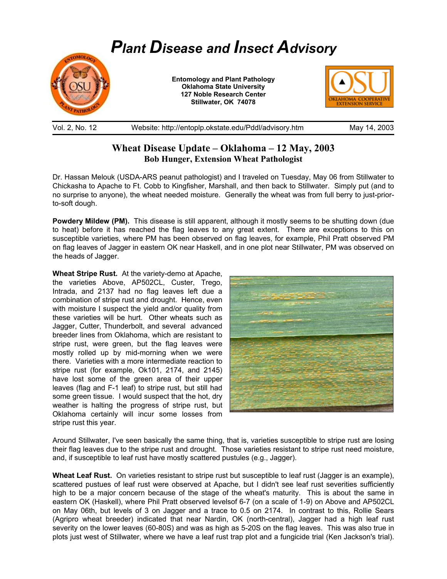

Vol. 2, No. 12 Website: http://entoplp.okstate.edu/Pddl/advisory.htm May 14, 2003

## **Wheat Disease Update – Oklahoma – 12 May, 2003 Bob Hunger, Extension Wheat Pathologist**

Dr. Hassan Melouk (USDA-ARS peanut pathologist) and I traveled on Tuesday, May 06 from Stillwater to Chickasha to Apache to Ft. Cobb to Kingfisher, Marshall, and then back to Stillwater. Simply put (and to no surprise to anyone), the wheat needed moisture. Generally the wheat was from full berry to just-priorto-soft dough.

**Powdery Mildew (PM).** This disease is still apparent, although it mostly seems to be shutting down (due to heat) before it has reached the flag leaves to any great extent. There are exceptions to this on susceptible varieties, where PM has been observed on flag leaves, for example, Phil Pratt observed PM on flag leaves of Jagger in eastern OK near Haskell, and in one plot near Stillwater, PM was observed on the heads of Jagger.

**Wheat Stripe Rust.** At the variety-demo at Apache, the varieties Above, AP502CL, Custer, Trego, Intrada, and 2137 had no flag leaves left due a combination of stripe rust and drought. Hence, even with moisture I suspect the yield and/or quality from these varieties will be hurt. Other wheats such as Jagger, Cutter, Thunderbolt, and several advanced breeder lines from Oklahoma, which are resistant to stripe rust, were green, but the flag leaves were mostly rolled up by mid-morning when we were there. Varieties with a more intermediate reaction to stripe rust (for example, Ok101, 2174, and 2145) have lost some of the green area of their upper leaves (flag and F-1 leaf) to stripe rust, but still had some green tissue. I would suspect that the hot, dry weather is halting the progress of stripe rust, but Oklahoma certainly will incur some losses from stripe rust this year.



Around Stillwater, I've seen basically the same thing, that is, varieties susceptible to stripe rust are losing their flag leaves due to the stripe rust and drought. Those varieties resistant to stripe rust need moisture, and, if susceptible to leaf rust have mostly scattered pustules (e.g., Jagger).

**Wheat Leaf Rust.** On varieties resistant to stripe rust but susceptible to leaf rust (Jagger is an example), scattered pustues of leaf rust were observed at Apache, but I didn't see leaf rust severities sufficiently high to be a major concern because of the stage of the wheat's maturity. This is about the same in eastern OK (Haskell), where Phil Pratt observed levelsof 6-7 (on a scale of 1-9) on Above and AP502CL on May 06th, but levels of 3 on Jagger and a trace to 0.5 on 2174. In contrast to this, Rollie Sears (Agripro wheat breeder) indicated that near Nardin, OK (north-central), Jagger had a high leaf rust severity on the lower leaves (60-80S) and was as high as 5-20S on the flag leaves. This was also true in plots just west of Stillwater, where we have a leaf rust trap plot and a fungicide trial (Ken Jackson's trial).